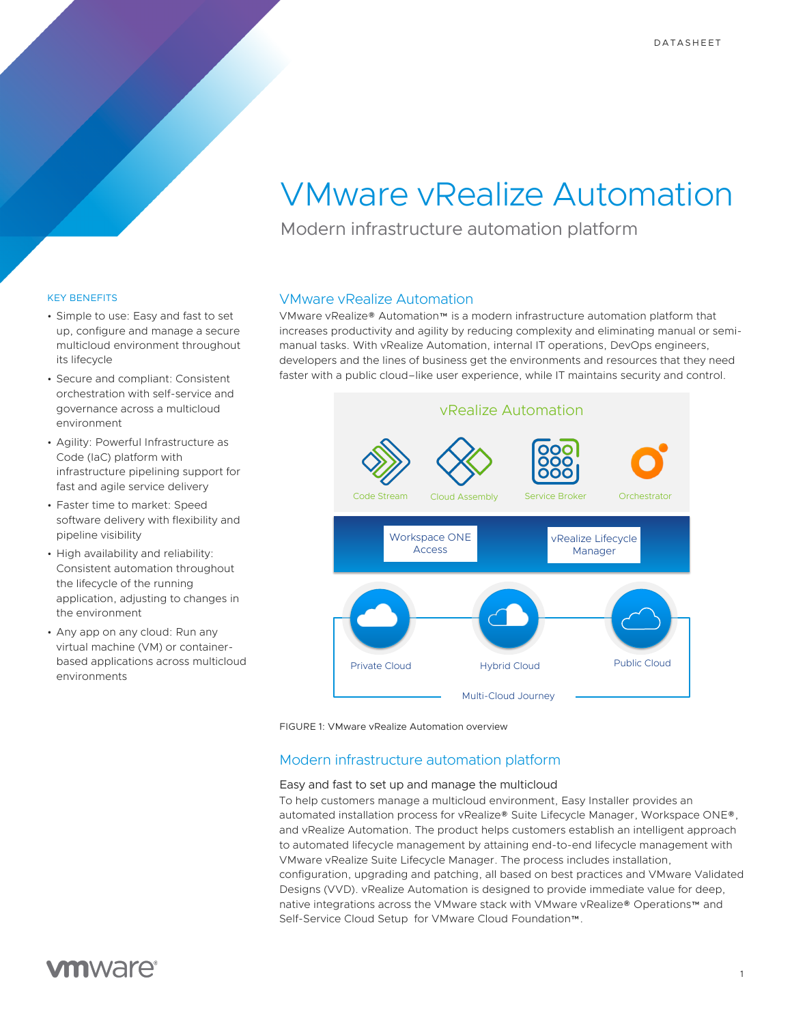# VMware vRealize Automation

Modern infrastructure automation platform

## KEY BENEFITS

- Simple to use: Easy and fast to set up, configure and manage a secure multicloud environment throughout its lifecycle
- Secure and compliant: Consistent orchestration with self-service and governance across a multicloud environment
- Agility: Powerful Infrastructure as Code (IaC) platform with infrastructure pipelining support for fast and agile service delivery
- Faster time to market: Speed software delivery with flexibility and pipeline visibility
- High availability and reliability: Consistent automation throughout the lifecycle of the running application, adjusting to changes in the environment
- Any app on any cloud: Run any virtual machine (VM) or containerbased applications across multicloud environments

# VMware vRealize Automation

VMware vRealize® Automation™ is a modern infrastructure automation platform that increases productivity and agility by reducing complexity and eliminating manual or semimanual tasks. With vRealize Automation, internal IT operations, DevOps engineers, developers and the lines of business get the environments and resources that they need faster with a public cloud–like user experience, while IT maintains security and control.





# Modern infrastructure automation platform

## Easy and fast to set up and manage the multicloud

To help customers manage a multicloud environment, Easy Installer provides an automated installation process for vRealize® Suite Lifecycle Manager, Workspace ONE®, and vRealize Automation. The product helps customers establish an intelligent approach to automated lifecycle management by attaining end-to-end lifecycle management with VMware vRealize Suite Lifecycle Manager. The process includes installation, configuration, upgrading and patching, all based on best practices and VMware Validated Designs (VVD). vRealize Automation is designed to provide immediate value for deep, native integrations across the VMware stack with VMware vRealize® Operations™ and Self-Service Cloud Setup for VMware Cloud Foundation™.

# **vm**ware<sup>®</sup>